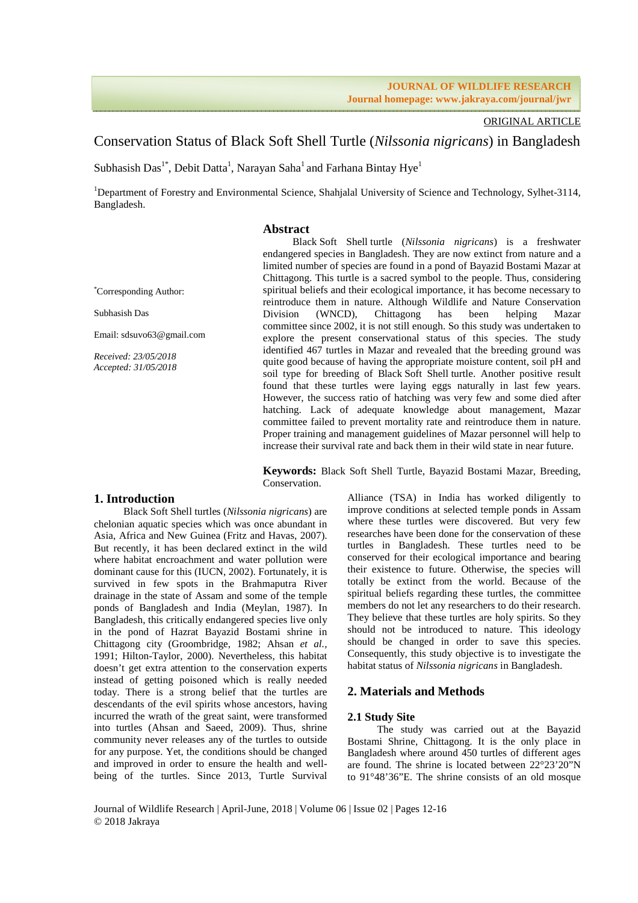### ORIGINAL ARTICLE

# Conservation Status of Black Soft Shell Turtle (*Nilssonia nigricans*) in Bangladesh

Subhasish Das<sup>1\*</sup>, Debit Datta<sup>1</sup>, Narayan Saha<sup>1</sup> and Farhana Bintay Hye<sup>1</sup>

<sup>1</sup>Department of Forestry and Environmental Science, Shahjalal University of Science and Technology, Sylhet-3114, Bangladesh.

# **Abstract**

\*Corresponding Author:

Subhasish Das

Email: sdsuvo63@gmail.com

*Received: 23/05/2018 Accepted: 31/05/2018* 

Black Soft Shell turtle (*Nilssonia nigricans*) is a freshwater endangered species in Bangladesh. They are now extinct from nature and a limited number of species are found in a pond of Bayazid Bostami Mazar at Chittagong. This turtle is a sacred symbol to the people. Thus, considering spiritual beliefs and their ecological importance, it has become necessary to reintroduce them in nature. Although Wildlife and Nature Conservation Division (WNCD), Chittagong has been helping Mazar committee since 2002, it is not still enough. So this study was undertaken to explore the present conservational status of this species. The study identified 467 turtles in Mazar and revealed that the breeding ground was quite good because of having the appropriate moisture content, soil pH and soil type for breeding of Black Soft Shell turtle. Another positive result found that these turtles were laying eggs naturally in last few years. However, the success ratio of hatching was very few and some died after hatching. Lack of adequate knowledge about management, Mazar committee failed to prevent mortality rate and reintroduce them in nature. Proper training and management guidelines of Mazar personnel will help to increase their survival rate and back them in their wild state in near future.

**Keywords:** Black Soft Shell Turtle, Bayazid Bostami Mazar, Breeding, Conservation.

### **1. Introduction**

Black Soft Shell turtles (*Nilssonia nigricans*) are chelonian aquatic species which was once abundant in Asia, Africa and New Guinea (Fritz and Havas, 2007). But recently, it has been declared extinct in the wild where habitat encroachment and water pollution were dominant cause for this (IUCN, 2002). Fortunately, it is survived in few spots in the Brahmaputra River drainage in the state of Assam and some of the temple ponds of Bangladesh and India (Meylan, 1987). In Bangladesh, this critically endangered species live only in the pond of Hazrat Bayazid Bostami shrine in Chittagong city (Groombridge, 1982; Ahsan *et al.,* 1991; Hilton-Taylor, 2000). Nevertheless, this habitat doesn't get extra attention to the conservation experts instead of getting poisoned which is really needed today. There is a strong belief that the turtles are descendants of the evil spirits whose ancestors, having incurred the wrath of the great saint, were transformed into turtles (Ahsan and Saeed, 2009). Thus, shrine community never releases any of the turtles to outside for any purpose. Yet, the conditions should be changed and improved in order to ensure the health and wellbeing of the turtles. Since 2013, Turtle Survival

Alliance (TSA) in India has worked diligently to improve conditions at selected temple ponds in Assam where these turtles were discovered. But very few researches have been done for the conservation of these turtles in Bangladesh. These turtles need to be conserved for their ecological importance and bearing their existence to future. Otherwise, the species will totally be extinct from the world. Because of the spiritual beliefs regarding these turtles, the committee members do not let any researchers to do their research. They believe that these turtles are holy spirits. So they should not be introduced to nature. This ideology should be changed in order to save this species. Consequently, this study objective is to investigate the habitat status of *Nilssonia nigricans* in Bangladesh.

# **2. Materials and Methods**

### **2.1 Study Site**

The study was carried out at the Bayazid Bostami Shrine, Chittagong. It is the only place in Bangladesh where around 450 turtles of different ages are found. The shrine is located between 22°23'20"N to 91°48'36"E. The shrine consists of an old mosque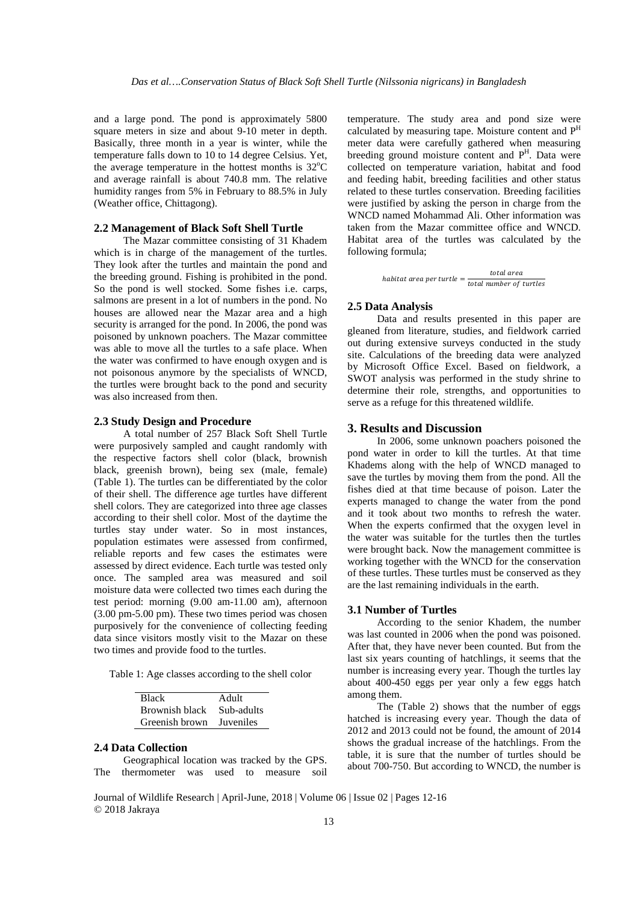and a large pond. The pond is approximately 5800 square meters in size and about 9-10 meter in depth. Basically, three month in a year is winter, while the temperature falls down to 10 to 14 degree Celsius. Yet, the average temperature in the hottest months is  $32^{\circ}$ C and average rainfall is about 740.8 mm. The relative humidity ranges from 5% in February to 88.5% in July (Weather office, Chittagong).

# **2.2 Management of Black Soft Shell Turtle**

The Mazar committee consisting of 31 Khadem which is in charge of the management of the turtles. They look after the turtles and maintain the pond and the breeding ground. Fishing is prohibited in the pond. So the pond is well stocked. Some fishes i.e. carps, salmons are present in a lot of numbers in the pond. No houses are allowed near the Mazar area and a high security is arranged for the pond. In 2006, the pond was poisoned by unknown poachers. The Mazar committee was able to move all the turtles to a safe place. When the water was confirmed to have enough oxygen and is not poisonous anymore by the specialists of WNCD, the turtles were brought back to the pond and security was also increased from then.

#### **2.3 Study Design and Procedure**

A total number of 257 Black Soft Shell Turtle were purposively sampled and caught randomly with the respective factors shell color (black, brownish black, greenish brown), being sex (male, female) (Table 1). The turtles can be differentiated by the color of their shell. The difference age turtles have different shell colors. They are categorized into three age classes according to their shell color. Most of the daytime the turtles stay under water. So in most instances, population estimates were assessed from confirmed, reliable reports and few cases the estimates were assessed by direct evidence. Each turtle was tested only once. The sampled area was measured and soil moisture data were collected two times each during the test period: morning (9.00 am-11.00 am), afternoon (3.00 pm-5.00 pm). These two times period was chosen purposively for the convenience of collecting feeding data since visitors mostly visit to the Mazar on these two times and provide food to the turtles.

Table 1: Age classes according to the shell color

| <b>Black</b>   | Adult            |
|----------------|------------------|
| Brownish black | Sub-adults       |
| Greenish brown | <b>Juveniles</b> |

#### **2.4 Data Collection**

Geographical location was tracked by the GPS. The thermometer was used to measure soil temperature. The study area and pond size were calculated by measuring tape. Moisture content and P<sup>H</sup> meter data were carefully gathered when measuring breeding ground moisture content and P<sup>H</sup>. Data were collected on temperature variation, habitat and food and feeding habit, breeding facilities and other status related to these turtles conservation. Breeding facilities were justified by asking the person in charge from the WNCD named Mohammad Ali. Other information was taken from the Mazar committee office and WNCD. Habitat area of the turtles was calculated by the following formula;

habitat area per turtle = 
$$
\frac{total\ area}{total\ number\ of\ turtles}
$$

#### **2.5 Data Analysis**

Data and results presented in this paper are gleaned from literature, studies, and fieldwork carried out during extensive surveys conducted in the study site. Calculations of the breeding data were analyzed by Microsoft Office Excel. Based on fieldwork, a SWOT analysis was performed in the study shrine to determine their role, strengths, and opportunities to serve as a refuge for this threatened wildlife.

### **3. Results and Discussion**

In 2006, some unknown poachers poisoned the pond water in order to kill the turtles. At that time Khadems along with the help of WNCD managed to save the turtles by moving them from the pond. All the fishes died at that time because of poison. Later the experts managed to change the water from the pond and it took about two months to refresh the water. When the experts confirmed that the oxygen level in the water was suitable for the turtles then the turtles were brought back. Now the management committee is working together with the WNCD for the conservation of these turtles. These turtles must be conserved as they are the last remaining individuals in the earth.

#### **3.1 Number of Turtles**

According to the senior Khadem, the number was last counted in 2006 when the pond was poisoned. After that, they have never been counted. But from the last six years counting of hatchlings, it seems that the number is increasing every year. Though the turtles lay about 400-450 eggs per year only a few eggs hatch among them.

The (Table 2) shows that the number of eggs hatched is increasing every year. Though the data of 2012 and 2013 could not be found, the amount of 2014 shows the gradual increase of the hatchlings. From the table, it is sure that the number of turtles should be about 700-750. But according to WNCD, the number is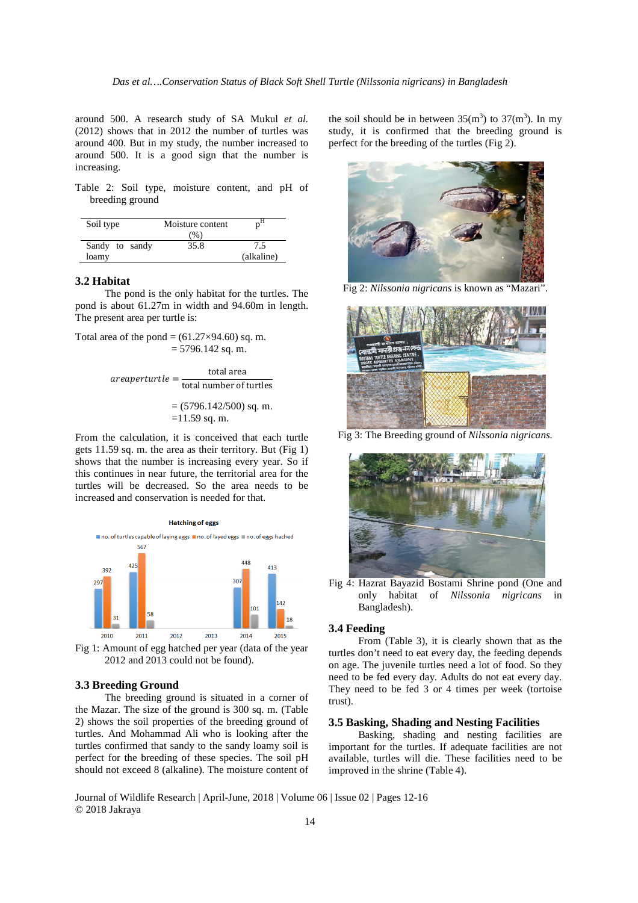around 500. A research study of SA Mukul *et al.*  (2012) shows that in 2012 the number of turtles was around 400. But in my study, the number increased to around 500. It is a good sign that the number is increasing.

Table 2: Soil type, moisture content, and pH of breeding ground

| Soil type      | Moisture content |            |
|----------------|------------------|------------|
|                | (% )             |            |
| Sandy to sandy | 35.8             | 7.5        |
| loamy          |                  | (alkaline) |

# **3.2 Habitat**

The pond is the only habitat for the turtles. The pond is about 61.27m in width and 94.60m in length. The present area per turtle is:

Total area of the pond  $=(61.27\times94.60)$  sq. m.  $= 5796.142$  sq. m.

$$
are a perturtle = \frac{\text{total area}}{\text{total number of turtles}}
$$

$$
= (5796.142/500) \text{ sq. m.}
$$

$$
= 11.59 \text{ sq. m.}
$$

From the calculation, it is conceived that each turtle gets 11.59 sq. m. the area as their territory. But (Fig 1) shows that the number is increasing every year. So if this continues in near future, the territorial area for the turtles will be decreased. So the area needs to be increased and conservation is needed for that.





# **3.3 Breeding Ground**

The breeding ground is situated in a corner of the Mazar. The size of the ground is 300 sq. m. (Table 2) shows the soil properties of the breeding ground of turtles. And Mohammad Ali who is looking after the turtles confirmed that sandy to the sandy loamy soil is perfect for the breeding of these species. The soil pH should not exceed 8 (alkaline). The moisture content of

the soil should be in between  $35(m^3)$  to  $37(m^3)$ . In my study, it is confirmed that the breeding ground is perfect for the breeding of the turtles (Fig 2).



Fig 2: *Nilssonia nigricans* is known as "Mazari".



Fig 3: The Breeding ground of *Nilssonia nigricans.* 



Fig 4: Hazrat Bayazid Bostami Shrine pond (One and only habitat of *Nilssonia nigricans* in Bangladesh).

### **3.4 Feeding**

From (Table 3), it is clearly shown that as the turtles don't need to eat every day, the feeding depends on age. The juvenile turtles need a lot of food. So they need to be fed every day. Adults do not eat every day. They need to be fed 3 or 4 times per week (tortoise trust).

# **3.5 Basking, Shading and Nesting Facilities**

Basking, shading and nesting facilities are important for the turtles. If adequate facilities are not available, turtles will die. These facilities need to be improved in the shrine (Table 4).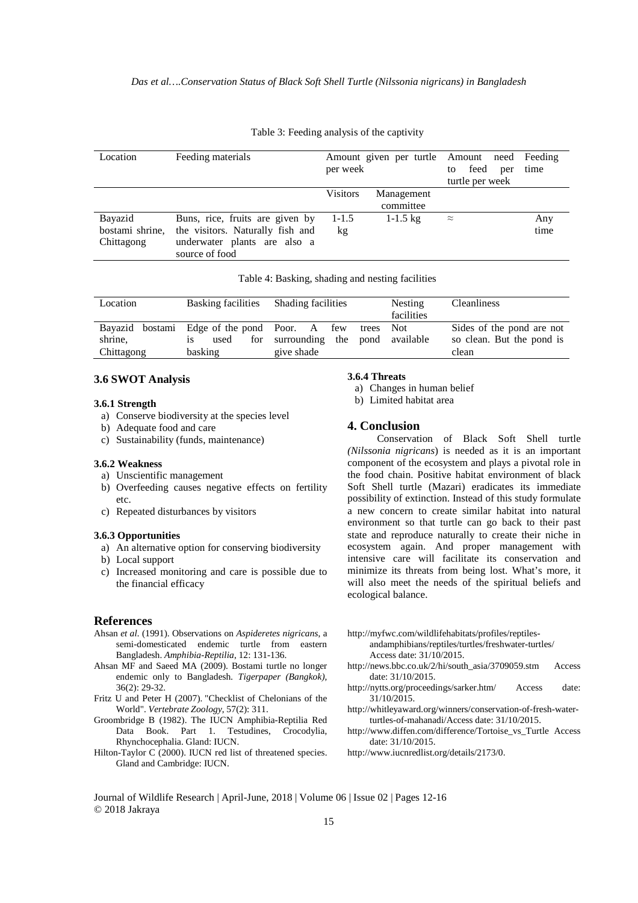| Location        | Feeding materials                              | Amount given per turtle Amount need Feeding<br>per week |                         | feed<br>to<br>turtle per week | per | time |
|-----------------|------------------------------------------------|---------------------------------------------------------|-------------------------|-------------------------------|-----|------|
|                 |                                                | <b>Visitors</b>                                         | Management<br>committee |                               |     |      |
| Bayazid         | Buns, rice, fruits are given by                | $1 - 1.5$                                               | $1 - 1.5$ kg            | $\approx$                     |     | Any  |
| bostami shrine, | the visitors. Naturally fish and               | kg                                                      |                         |                               |     | time |
| Chittagong      | underwater plants are also a<br>source of food |                                                         |                         |                               |     |      |

Table 3: Feeding analysis of the captivity

Table 4: Basking, shading and nesting facilities

| Location              | Basking facilities Shading facilities |                                                                                                            | <b>Nesting</b><br>facilities | <b>Cleanliness</b>                                              |
|-----------------------|---------------------------------------|------------------------------------------------------------------------------------------------------------|------------------------------|-----------------------------------------------------------------|
| shrine,<br>Chittagong | used<br><b>1S</b><br>basking          | Bayazid bostami Edge of the pond Poor. A few trees Not<br>for surrounding the pond available<br>give shade |                              | Sides of the pond are not<br>so clean. But the pond is<br>clean |

# **3.6 SWOT Analysis**

#### **3.6.1 Strength**

- a) Conserve biodiversity at the species level
- b) Adequate food and care
- c) Sustainability (funds, maintenance)

# **3.6.2 Weakness**

- a) Unscientific management
- b) Overfeeding causes negative effects on fertility etc.
- c) Repeated disturbances by visitors

#### **3.6.3 Opportunities**

- a) An alternative option for conserving biodiversity
- b) Local support
- c) Increased monitoring and care is possible due to the financial efficacy

### **References**

- Ahsan *et al.* (1991). Observations on *Aspideretes nigricans*, a semi-domesticated endemic turtle from eastern Bangladesh. *Amphibia-Reptilia*, 12: 131-136.
- Ahsan MF and Saeed MA (2009). Bostami turtle no longer endemic only to Bangladesh*. Tigerpaper (Bangkok),*  36(2): 29-32.
- Fritz U and Peter H (2007). "Checklist of Chelonians of the World". *Vertebrate Zoology*, 57(2): 311.
- Groombridge B (1982). The IUCN Amphibia-Reptilia Red Data Book. Part 1. Testudines, Crocodylia, Rhynchocephalia. Gland: IUCN.
- Hilton-Taylor C (2000). IUCN red list of threatened species. Gland and Cambridge: IUCN.

# **3.6.4 Threats**

- a) Changes in human belief
- b) Limited habitat area

### **4. Conclusion**

Conservation of Black Soft Shell turtle *(Nilssonia nigricans*) is needed as it is an important component of the ecosystem and plays a pivotal role in the food chain. Positive habitat environment of black Soft Shell turtle (Mazari) eradicates its immediate possibility of extinction. Instead of this study formulate a new concern to create similar habitat into natural environment so that turtle can go back to their past state and reproduce naturally to create their niche in ecosystem again. And proper management with intensive care will facilitate its conservation and minimize its threats from being lost. What's more, it will also meet the needs of the spiritual beliefs and ecological balance.

http://myfwc.com/wildlifehabitats/profiles/reptiles-

andamphibians/reptiles/turtles/freshwater-turtles/ Access date: 31/10/2015.

- http://news.bbc.co.uk/2/hi/south\_asia/3709059.stm Access date: 31/10/2015.
- http://nytts.org/proceedings/sarker.htm/ Access date: 31/10/2015.
- http://whitleyaward.org/winners/conservation-of-fresh-waterturtles-of-mahanadi/Access date: 31/10/2015.
- http://www.diffen.com/difference/Tortoise\_vs\_Turtle Access date: 31/10/2015.
- http://www.iucnredlist.org/details/2173/0.